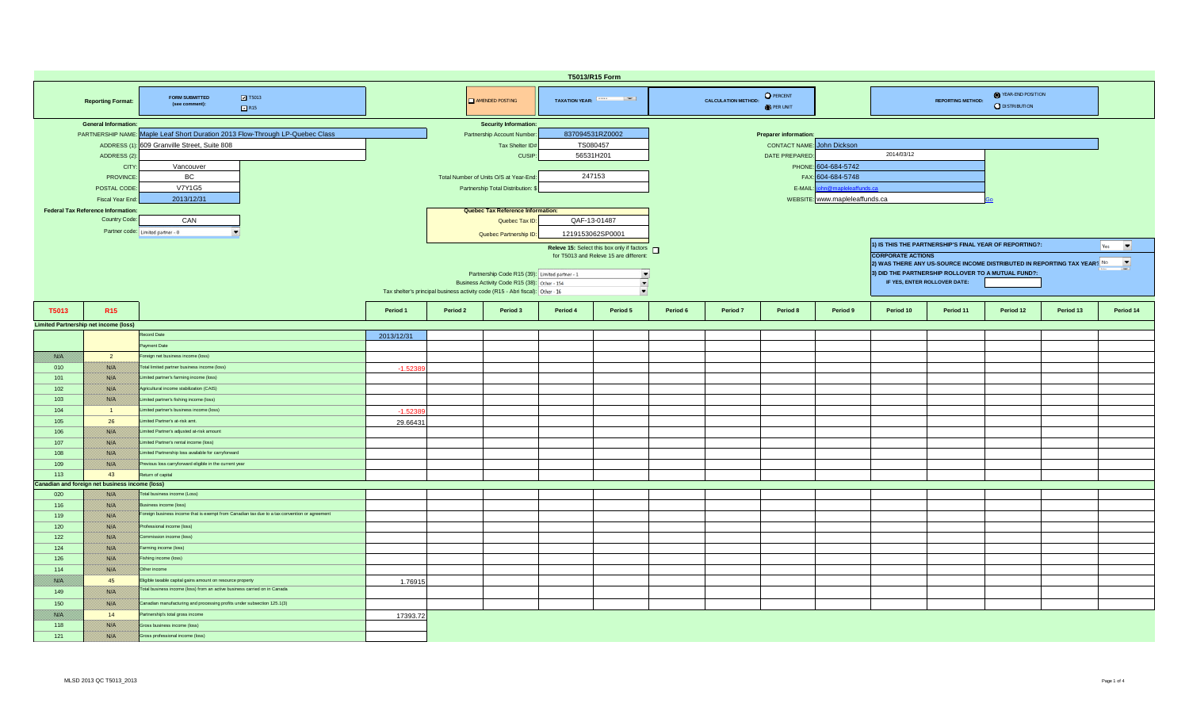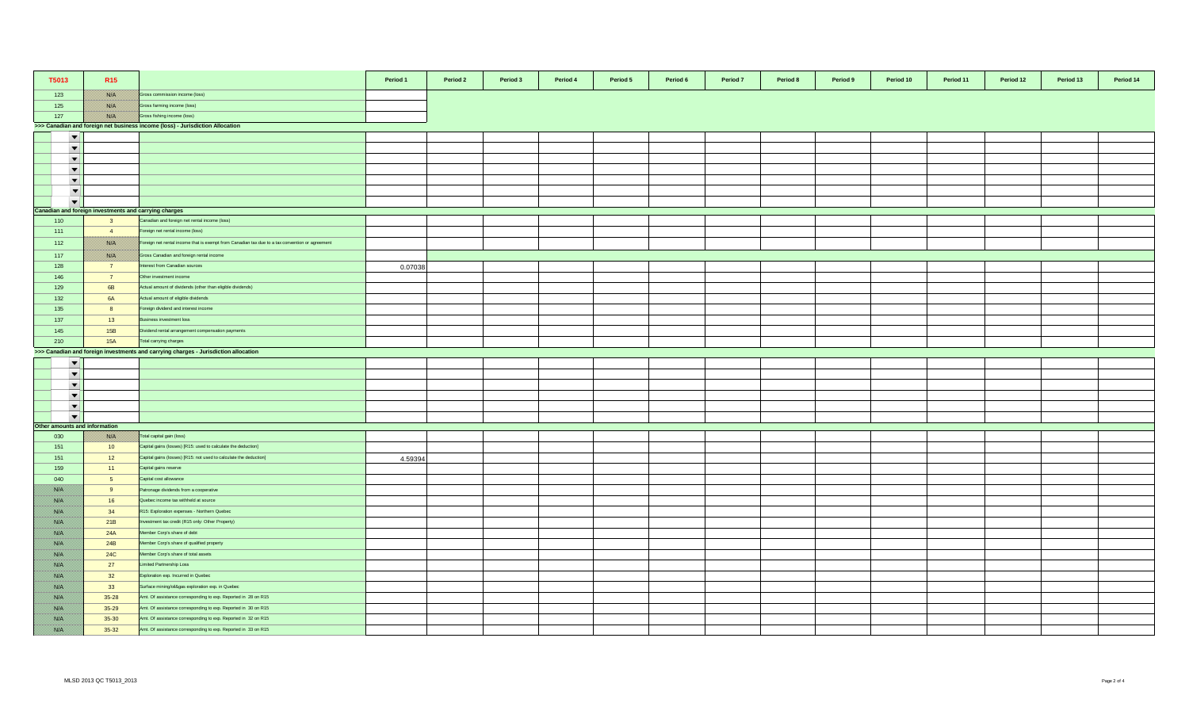| T5013                                                 | R <sub>15</sub>                                                                     |                                                                                                 | Period 1 | Period 2 | Period 3 | Period 4 | Period 5 | Period 6 | Period 7 | Period 8 | Period 9 | Period 10 | Period 11 | Period 12 | Period 13 | Period 14 |
|-------------------------------------------------------|-------------------------------------------------------------------------------------|-------------------------------------------------------------------------------------------------|----------|----------|----------|----------|----------|----------|----------|----------|----------|-----------|-----------|-----------|-----------|-----------|
| 123                                                   | <u> Bishkil</u>                                                                     | Gross commission income (loss)                                                                  |          |          |          |          |          |          |          |          |          |           |           |           |           |           |
| 125                                                   |                                                                                     | Gross farming income (loss)                                                                     |          |          |          |          |          |          |          |          |          |           |           |           |           |           |
| 127                                                   | //ssisk/                                                                            | Gross fishing income (loss)                                                                     |          |          |          |          |          |          |          |          |          |           |           |           |           |           |
|                                                       |                                                                                     | >>> Canadian and foreign net business income (loss) - Jurisdiction Allocation                   |          |          |          |          |          |          |          |          |          |           |           |           |           |           |
| $\overline{\phantom{a}}$                              |                                                                                     |                                                                                                 |          |          |          |          |          |          |          |          |          |           |           |           |           |           |
| $\blacktriangledown$                                  |                                                                                     |                                                                                                 |          |          |          |          |          |          |          |          |          |           |           |           |           |           |
| $\blacktriangledown$                                  |                                                                                     |                                                                                                 |          |          |          |          |          |          |          |          |          |           |           |           |           |           |
| $\blacktriangledown$                                  |                                                                                     |                                                                                                 |          |          |          |          |          |          |          |          |          |           |           |           |           |           |
| $\blacktriangledown$                                  |                                                                                     |                                                                                                 |          |          |          |          |          |          |          |          |          |           |           |           |           |           |
| $\overline{\phantom{a}}$                              |                                                                                     |                                                                                                 |          |          |          |          |          |          |          |          |          |           |           |           |           |           |
| $\overline{\phantom{a}}$                              |                                                                                     |                                                                                                 |          |          |          |          |          |          |          |          |          |           |           |           |           |           |
| Canadian and foreign investments and carrying charges |                                                                                     |                                                                                                 |          |          |          |          |          |          |          |          |          |           |           |           |           |           |
| 110                                                   | $\overline{\mathbf{3}}$                                                             | Canadian and foreign net rental income (loss)                                                   |          |          |          |          |          |          |          |          |          |           |           |           |           |           |
| 111                                                   | $\overline{4}$                                                                      | Foreign net rental income (loss)                                                                |          |          |          |          |          |          |          |          |          |           |           |           |           |           |
| 112                                                   | <u> Bishi k</u>                                                                     | Foreign net rental income that is exempt from Canadian tax due to a tax convention or agreement |          |          |          |          |          |          |          |          |          |           |           |           |           |           |
| 117                                                   | <u> Biskopi (</u>                                                                   | Gross Canadian and foreign rental income                                                        |          |          |          |          |          |          |          |          |          |           |           |           |           |           |
| 128                                                   | 7 <sup>7</sup>                                                                      | nterest from Canadian sources                                                                   | 0.07038  |          |          |          |          |          |          |          |          |           |           |           |           |           |
| 146                                                   | 7 <sup>7</sup>                                                                      | Other investment income                                                                         |          |          |          |          |          |          |          |          |          |           |           |           |           |           |
| 129                                                   | 6 <b>B</b>                                                                          | Actual amount of dividends (other than eligible dividends)                                      |          |          |          |          |          |          |          |          |          |           |           |           |           |           |
| 132                                                   | <b>6A</b>                                                                           | Actual amount of eligible dividends                                                             |          |          |          |          |          |          |          |          |          |           |           |           |           |           |
| 135                                                   | 8 <sup>1</sup>                                                                      | Foreign dividend and interest income                                                            |          |          |          |          |          |          |          |          |          |           |           |           |           |           |
| 137                                                   | 13                                                                                  | Business investment loss                                                                        |          |          |          |          |          |          |          |          |          |           |           |           |           |           |
| 145                                                   | 15B                                                                                 | Dividend rental arrangement compensation payments                                               |          |          |          |          |          |          |          |          |          |           |           |           |           |           |
| 210                                                   | <b>15A</b>                                                                          | Total carrying charges                                                                          |          |          |          |          |          |          |          |          |          |           |           |           |           |           |
|                                                       | >>> Canadian and foreign investments and carrying charges - Jurisdiction allocation |                                                                                                 |          |          |          |          |          |          |          |          |          |           |           |           |           |           |
| $\blacktriangledown$                                  |                                                                                     |                                                                                                 |          |          |          |          |          |          |          |          |          |           |           |           |           |           |
| $\overline{\phantom{a}}$                              |                                                                                     |                                                                                                 |          |          |          |          |          |          |          |          |          |           |           |           |           |           |
| $\blacktriangledown$                                  |                                                                                     |                                                                                                 |          |          |          |          |          |          |          |          |          |           |           |           |           |           |
| $\overline{\phantom{a}}$                              |                                                                                     |                                                                                                 |          |          |          |          |          |          |          |          |          |           |           |           |           |           |
| $\blacktriangledown$                                  |                                                                                     |                                                                                                 |          |          |          |          |          |          |          |          |          |           |           |           |           |           |
| $\blacktriangledown$                                  |                                                                                     |                                                                                                 |          |          |          |          |          |          |          |          |          |           |           |           |           |           |
| Other amounts and information                         |                                                                                     |                                                                                                 |          |          |          |          |          |          |          |          |          |           |           |           |           |           |
| 030                                                   | 28. S                                                                               | Total capital gain (loss)                                                                       |          |          |          |          |          |          |          |          |          |           |           |           |           |           |
| 151                                                   | 10                                                                                  | Capital gains (losses) [R15: used to calculate the deduction]                                   |          |          |          |          |          |          |          |          |          |           |           |           |           |           |
| 151                                                   | 12                                                                                  | Capital gains (losses) [R15: not used to calculate the deduction]                               | 4.59394  |          |          |          |          |          |          |          |          |           |           |           |           |           |
| 159                                                   | $-11$                                                                               | Capital gains reserve                                                                           |          |          |          |          |          |          |          |          |          |           |           |           |           |           |
| 040                                                   | 5 <sup>5</sup>                                                                      | Capital cost allowance                                                                          |          |          |          |          |          |          |          |          |          |           |           |           |           |           |
| 788. E                                                | 9                                                                                   | Patronage dividends from a cooperative                                                          |          |          |          |          |          |          |          |          |          |           |           |           |           |           |
|                                                       | 16                                                                                  | Quebec income tax withheld at source                                                            |          |          |          |          |          |          |          |          |          |           |           |           |           |           |
|                                                       | 34                                                                                  | R15: Exploration expenses - Northern Quebec                                                     |          |          |          |          |          |          |          |          |          |           |           |           |           |           |
| <u> British</u>                                       | 21B                                                                                 | vestment tax credit (R15 only: Other Property)                                                  |          |          |          |          |          |          |          |          |          |           |           |           |           |           |
| <b>BARA</b>                                           | 24A                                                                                 | Member Corp's share of debt                                                                     |          |          |          |          |          |          |          |          |          |           |           |           |           |           |
| <b>BALLA</b>                                          | 24B                                                                                 | Member Corp's share of qualified property                                                       |          |          |          |          |          |          |          |          |          |           |           |           |           |           |
| 788. V                                                | <b>24C</b>                                                                          | Member Corp's share of total assets                                                             |          |          |          |          |          |          |          |          |          |           |           |           |           |           |
| Bibliotha                                             | 27                                                                                  | Limited Partnership Loss                                                                        |          |          |          |          |          |          |          |          |          |           |           |           |           |           |
| film a                                                | 32                                                                                  | Exploration exp. Incurred in Quebec                                                             |          |          |          |          |          |          |          |          |          |           |           |           |           |           |
|                                                       | 33                                                                                  | Surface mining/oil&gas exploration exp. in Quebec                                               |          |          |          |          |          |          |          |          |          |           |           |           |           |           |
| 788. E                                                | $35 - 28$                                                                           | Amt. Of assistance corresponding to exp. Reported in 28 on R15                                  |          |          |          |          |          |          |          |          |          |           |           |           |           |           |
|                                                       | 35-29                                                                               | Amt. Of assistance corresponding to exp. Reported in 30 on R15                                  |          |          |          |          |          |          |          |          |          |           |           |           |           |           |
| 1880 E.                                               | $35 - 30$                                                                           | Amt. Of assistance corresponding to exp. Reported in 32 on R15                                  |          |          |          |          |          |          |          |          |          |           |           |           |           |           |
| <b>BARA</b>                                           | 35-32                                                                               | Amt. Of assistance corresponding to exp. Reported in 33 on R15                                  |          |          |          |          |          |          |          |          |          |           |           |           |           |           |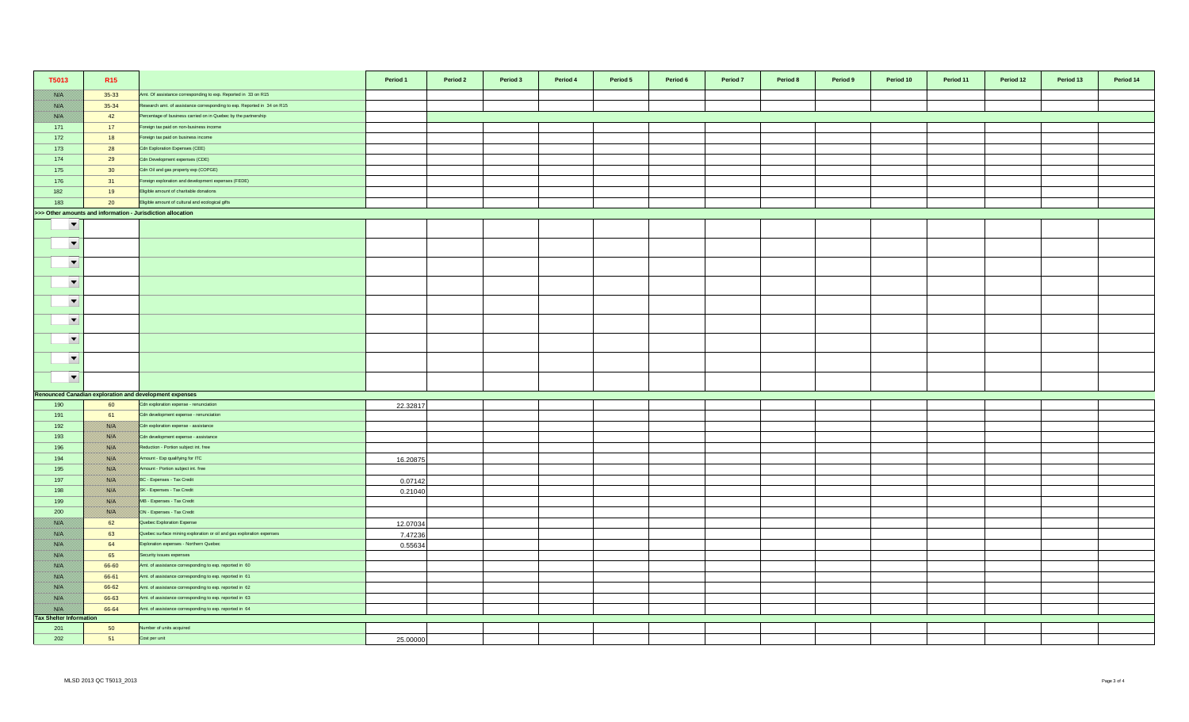| T5013                                 | R <sub>15</sub>                                             |                                                                         | Period 1 | Period 2 | Period 3 | Period 4 | Period 5 | Period 6 | Period <sub>7</sub> | Period 8 | Period 9 | Period 10 | Period 11 | Period 12 | Period 13 | Period 14 |
|---------------------------------------|-------------------------------------------------------------|-------------------------------------------------------------------------|----------|----------|----------|----------|----------|----------|---------------------|----------|----------|-----------|-----------|-----------|-----------|-----------|
| <b>SSIE</b>                           | $35 - 33$                                                   | Amt. Of assistance corresponding to exp. Reported in 33 on R15          |          |          |          |          |          |          |                     |          |          |           |           |           |           |           |
| <b>SSIE</b>                           | 35-34                                                       | Research amt. of assistance corresponding to exp. Reported in 34 on R15 |          |          |          |          |          |          |                     |          |          |           |           |           |           |           |
| <b>SSIP</b>                           | 42                                                          | Percentage of business carried on in Quebec by the partnership          |          |          |          |          |          |          |                     |          |          |           |           |           |           |           |
| 171                                   | 17                                                          | Foreign tax paid on non-business income                                 |          |          |          |          |          |          |                     |          |          |           |           |           |           |           |
| 172                                   | 18                                                          | Foreign tax paid on business income                                     |          |          |          |          |          |          |                     |          |          |           |           |           |           |           |
| 173                                   | 28                                                          | Cdn Exploration Expenses (CEE)                                          |          |          |          |          |          |          |                     |          |          |           |           |           |           |           |
| 174                                   | 29                                                          | Cdn Development expenses (CDE)                                          |          |          |          |          |          |          |                     |          |          |           |           |           |           |           |
| 175                                   | 30 <sup>°</sup>                                             | Cdn Oil and gas property exp (COPGE)                                    |          |          |          |          |          |          |                     |          |          |           |           |           |           |           |
| 176                                   | 31                                                          | Foreign exploration and development expenses (FEDE)                     |          |          |          |          |          |          |                     |          |          |           |           |           |           |           |
| 182                                   | 19                                                          | Eligible amount of charitable donations                                 |          |          |          |          |          |          |                     |          |          |           |           |           |           |           |
| 183                                   | 20                                                          | Eligible amount of cultural and ecological gifts                        |          |          |          |          |          |          |                     |          |          |           |           |           |           |           |
|                                       | >>> Other amounts and information - Jurisdiction allocation |                                                                         |          |          |          |          |          |          |                     |          |          |           |           |           |           |           |
| $\overline{\phantom{0}}$              |                                                             |                                                                         |          |          |          |          |          |          |                     |          |          |           |           |           |           |           |
| $\blacktriangledown$                  |                                                             |                                                                         |          |          |          |          |          |          |                     |          |          |           |           |           |           |           |
| $\blacktriangledown$                  |                                                             |                                                                         |          |          |          |          |          |          |                     |          |          |           |           |           |           |           |
| $\blacktriangledown$                  |                                                             |                                                                         |          |          |          |          |          |          |                     |          |          |           |           |           |           |           |
| $\blacktriangledown$                  |                                                             |                                                                         |          |          |          |          |          |          |                     |          |          |           |           |           |           |           |
| $\blacktriangledown$                  |                                                             |                                                                         |          |          |          |          |          |          |                     |          |          |           |           |           |           |           |
| $\blacktriangledown$                  |                                                             |                                                                         |          |          |          |          |          |          |                     |          |          |           |           |           |           |           |
| $\blacktriangledown$                  |                                                             |                                                                         |          |          |          |          |          |          |                     |          |          |           |           |           |           |           |
| $\blacktriangledown$                  |                                                             |                                                                         |          |          |          |          |          |          |                     |          |          |           |           |           |           |           |
|                                       |                                                             | <b>Renounced Canadian exploration and development expenses</b>          |          |          |          |          |          |          |                     |          |          |           |           |           |           |           |
| 190                                   | 60                                                          | Cdn exploration expense - renunciation                                  | 22.32817 |          |          |          |          |          |                     |          |          |           |           |           |           |           |
| 191                                   | 61                                                          | Cdn development expense - renunciation                                  |          |          |          |          |          |          |                     |          |          |           |           |           |           |           |
| 192                                   | <b>BARA</b>                                                 | Cdn exploration expense - assistance                                    |          |          |          |          |          |          |                     |          |          |           |           |           |           |           |
| 193                                   | filik di k                                                  | Cdn development expense - assistance                                    |          |          |          |          |          |          |                     |          |          |           |           |           |           |           |
| 196                                   | 1880 F                                                      | Reduction - Portion subject int. free                                   |          |          |          |          |          |          |                     |          |          |           |           |           |           |           |
| 194                                   | 1880 F                                                      | Amount - Exp qualifying for ITC                                         | 16.20875 |          |          |          |          |          |                     |          |          |           |           |           |           |           |
| 195                                   | <u> Kill</u>                                                | Amount - Portion subject int. free                                      |          |          |          |          |          |          |                     |          |          |           |           |           |           |           |
| 197                                   | 1880 EU                                                     | BC - Expenses - Tax Credit                                              | 0.07142  |          |          |          |          |          |                     |          |          |           |           |           |           |           |
| 198                                   | <u> Kill</u>                                                | SK - Expenses - Tax Credit                                              | 0.21040  |          |          |          |          |          |                     |          |          |           |           |           |           |           |
| 199                                   | 1880 Oli                                                    | MB - Expenses - Tax Credit                                              |          |          |          |          |          |          |                     |          |          |           |           |           |           |           |
| 200                                   | <b>BARA</b>                                                 | ON - Expenses - Tax Credit                                              |          |          |          |          |          |          |                     |          |          |           |           |           |           |           |
| 1880 Oʻli                             | 62                                                          | Quebec Exploration Expense                                              | 12.07034 |          |          |          |          |          |                     |          |          |           |           |           |           |           |
| <u> 1880. SV</u>                      | 63                                                          | Quebec surface mining exploration or oil and gas exploration expenses   | 7.47236  |          |          |          |          |          |                     |          |          |           |           |           |           |           |
| <u>1880 (19</u>                       | 64                                                          | Exploration expenses - Northern Quebec                                  | 0.55634  |          |          |          |          |          |                     |          |          |           |           |           |           |           |
| <u> 1880. SV</u>                      | 65                                                          | Security issues expenses                                                |          |          |          |          |          |          |                     |          |          |           |           |           |           |           |
| <u>1880 (19</u>                       | 66-60                                                       | Amt. of assistance corresponding to exp. reported in 60                 |          |          |          |          |          |          |                     |          |          |           |           |           |           |           |
| <b>RACINA</b>                         | 66-61                                                       | Amt. of assistance corresponding to exp. reported in 61                 |          |          |          |          |          |          |                     |          |          |           |           |           |           |           |
| <b>SSIP</b>                           | 66-62                                                       | Amt. of assistance corresponding to exp. reported in 62                 |          |          |          |          |          |          |                     |          |          |           |           |           |           |           |
| filman k                              | 66-63                                                       | Amt. of assistance corresponding to exp. reported in 63                 |          |          |          |          |          |          |                     |          |          |           |           |           |           |           |
| 1880 Oliveill                         | 66-64                                                       | Amt. of assistance corresponding to exp. reported in 64                 |          |          |          |          |          |          |                     |          |          |           |           |           |           |           |
| <b>Tax Shelter Information</b><br>201 | 50                                                          | Number of units acquired                                                |          |          |          |          |          |          |                     |          |          |           |           |           |           |           |
| 202                                   | 51                                                          | Cost per unit                                                           |          |          |          |          |          |          |                     |          |          |           |           |           |           |           |
|                                       |                                                             |                                                                         | 25,00000 |          |          |          |          |          |                     |          |          |           |           |           |           |           |